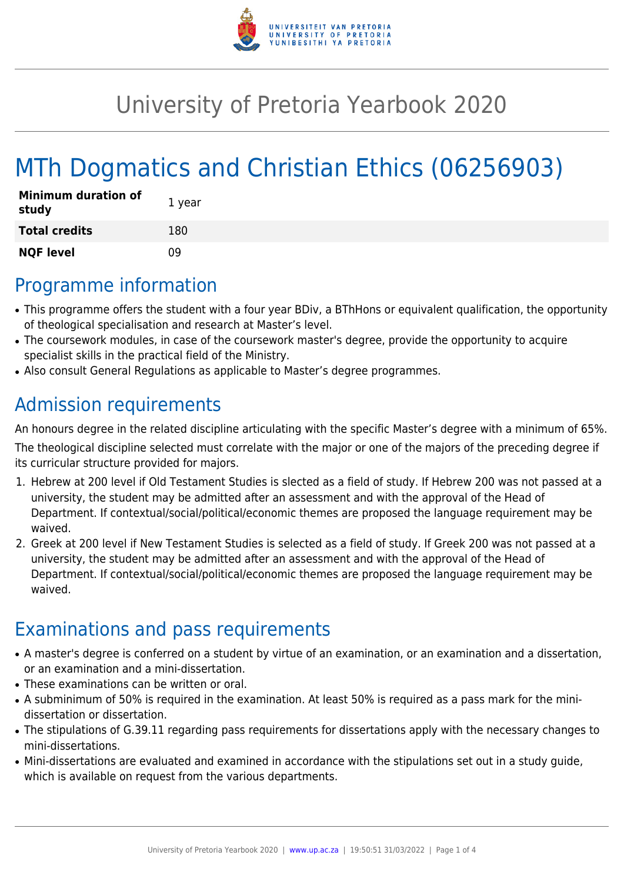

## University of Pretoria Yearbook 2020

# MTh Dogmatics and Christian Ethics (06256903)

| <b>Minimum duration of</b><br>study | 1 year |
|-------------------------------------|--------|
| <b>Total credits</b>                | 180    |
| <b>NQF level</b>                    | n۹     |

### Programme information

- This programme offers the student with a four year BDiv, a BThHons or equivalent qualification, the opportunity of theological specialisation and research at Master's level.
- The coursework modules, in case of the coursework master's degree, provide the opportunity to acquire specialist skills in the practical field of the Ministry.
- Also consult General Regulations as applicable to Master's degree programmes.

### Admission requirements

An honours degree in the related discipline articulating with the specific Master's degree with a minimum of 65%.

The theological discipline selected must correlate with the major or one of the majors of the preceding degree if its curricular structure provided for majors.

- 1. Hebrew at 200 level if Old Testament Studies is slected as a field of study. If Hebrew 200 was not passed at a university, the student may be admitted after an assessment and with the approval of the Head of Department. If contextual/social/political/economic themes are proposed the language requirement may be waived.
- 2. Greek at 200 level if New Testament Studies is selected as a field of study. If Greek 200 was not passed at a university, the student may be admitted after an assessment and with the approval of the Head of Department. If contextual/social/political/economic themes are proposed the language requirement may be waived.

### Examinations and pass requirements

- A master's degree is conferred on a student by virtue of an examination, or an examination and a dissertation, or an examination and a mini-dissertation.
- These examinations can be written or oral.
- A subminimum of 50% is required in the examination. At least 50% is required as a pass mark for the minidissertation or dissertation.
- The stipulations of G.39.11 regarding pass requirements for dissertations apply with the necessary changes to mini-dissertations.
- Mini-dissertations are evaluated and examined in accordance with the stipulations set out in a study guide, which is available on request from the various departments.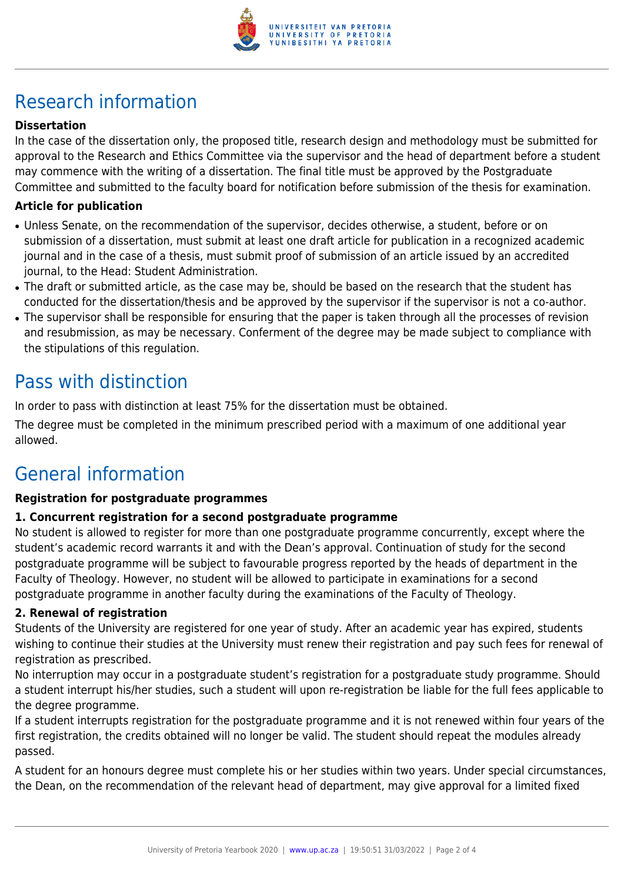

## Research information

#### **Dissertation**

In the case of the dissertation only, the proposed title, research design and methodology must be submitted for approval to the Research and Ethics Committee via the supervisor and the head of department before a student may commence with the writing of a dissertation. The final title must be approved by the Postgraduate Committee and submitted to the faculty board for notification before submission of the thesis for examination.

#### **Article for publication**

- Unless Senate, on the recommendation of the supervisor, decides otherwise, a student, before or on submission of a dissertation, must submit at least one draft article for publication in a recognized academic journal and in the case of a thesis, must submit proof of submission of an article issued by an accredited journal, to the Head: Student Administration.
- The draft or submitted article, as the case may be, should be based on the research that the student has conducted for the dissertation/thesis and be approved by the supervisor if the supervisor is not a co-author.
- The supervisor shall be responsible for ensuring that the paper is taken through all the processes of revision and resubmission, as may be necessary. Conferment of the degree may be made subject to compliance with the stipulations of this regulation.

### Pass with distinction

In order to pass with distinction at least 75% for the dissertation must be obtained.

The degree must be completed in the minimum prescribed period with a maximum of one additional year allowed.

### General information

#### **Registration for postgraduate programmes**

#### **1. Concurrent registration for a second postgraduate programme**

No student is allowed to register for more than one postgraduate programme concurrently, except where the student's academic record warrants it and with the Dean's approval. Continuation of study for the second postgraduate programme will be subject to favourable progress reported by the heads of department in the Faculty of Theology. However, no student will be allowed to participate in examinations for a second postgraduate programme in another faculty during the examinations of the Faculty of Theology.

#### **2. Renewal of registration**

Students of the University are registered for one year of study. After an academic year has expired, students wishing to continue their studies at the University must renew their registration and pay such fees for renewal of registration as prescribed.

No interruption may occur in a postgraduate student's registration for a postgraduate study programme. Should a student interrupt his/her studies, such a student will upon re-registration be liable for the full fees applicable to the degree programme.

If a student interrupts registration for the postgraduate programme and it is not renewed within four years of the first registration, the credits obtained will no longer be valid. The student should repeat the modules already passed.

A student for an honours degree must complete his or her studies within two years. Under special circumstances, the Dean, on the recommendation of the relevant head of department, may give approval for a limited fixed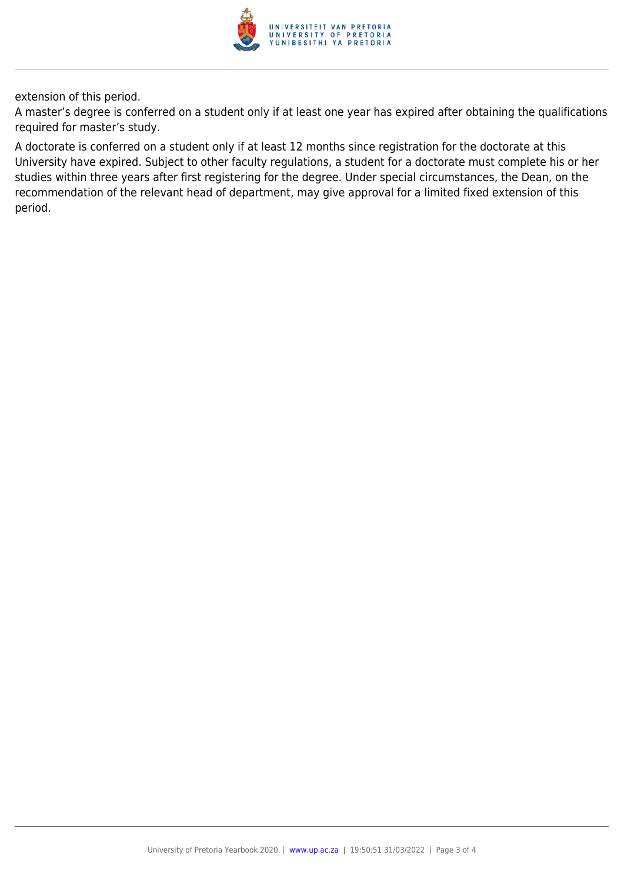

extension of this period.

A master's degree is conferred on a student only if at least one year has expired after obtaining the qualifications required for master's study.

A doctorate is conferred on a student only if at least 12 months since registration for the doctorate at this University have expired. Subject to other faculty regulations, a student for a doctorate must complete his or her studies within three years after first registering for the degree. Under special circumstances, the Dean, on the recommendation of the relevant head of department, may give approval for a limited fixed extension of this period.